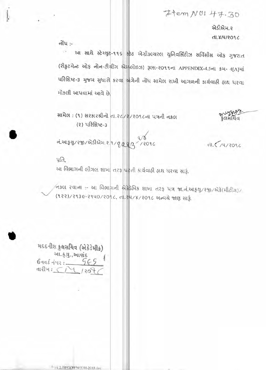Item NOI 47.30

એડીએમ.૨ **dl.8/4/2096** 

નોંધ :- $\sqrt{2}$ 

આ સાથે સ્ટેચ્યુટ-૧૧૬ સ્ટેટ એગ્રીકલ્ચરલ યુનિવર્સિટીઝ સર્વિસીસ ઓફ ગુજરાત (રીફ્રુટમેન્ટ ઓફ નોન-ટીચીંગ એમલોઇઝ) રૂલ્સ-૨૦૧૧ના APPENDIX-4.5ના ક્રમ- 4[A]માં પરિશિષ્ટ-3 મુજબ સુધારી કરવા માંગેની નોંધ સામેલ રાખી આગળની કાર્યવાહી હાથ ધરવા મોકલી આપવામાં આવે છે.

સામેલ: (૧) સરકારશ્રીનો તા. 2 / 209 cના પત્રની નકલ (૨) પરિશિષ્ટ-3

નં.આફથુ/રજી/એડીએમ.૨.૧/૧<u>/29</u>/2  $12096$ 

 $dL < 74/2096$ 

रुप्पार्थिय<br>इतसंयिव

પ્રતિ,

આ વિભાગની લીગલ શાખા તરફ ધરતી કાર્યવાહી હાથ ધરવા સારૂં.

/ નકલ રવાના :- આ વિભાગની એફેડેમિક શાખા તરફ પત્ર જા.નં.આક્*યુ/રજી/એ*કે(મીટીંગ) (१२२)/२१३૯-२१५०/२०१८, ता. २५/४/२०१८ सन्वये श्वाश साई.

મદદનીશ કુલસચિવ (એકેડેમીક) આ.કુ.યુ.,આશંદ  $8 - 10 - 10 - 10$  $dH^2H: \bigcap_{k=1}^{\infty} H^2M$ 

E-1A.2.IWODIPNODII-2018.doc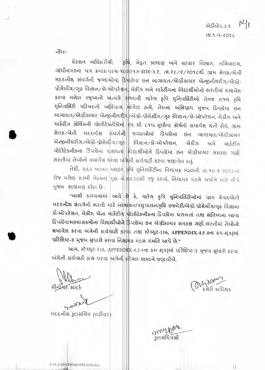$M_I$ એડીએમ.ર.૧ J POS-4-P.J.h

નોંધઃ-

सेडशन अधिडारीश्री, इपि, ખेडूत डल्याएा अने सहडार विलाग, सयिवालय, ગાંધીનગરના પત્ર ક્રમાંક: પરચ-૧૦૨૦૧૭-४०४- s. ર. તા. 26/2/2016થી ગ્રામ સેવક/ખેતી HEEનીશ સંવર્ગની જગ્યાઓમાં ડિપલોમા ઇન બાગાયત/એગ્રીકલ્ચર એન્જીનીયરીંગ/એગ્રો-પ્રોસેસીંગ∕ગૃહ વિજ્ઞાન∕કો-ઓપરેશન, બેકીંગ અને માર્કેટીંગના વિદ્યાર્થીઓનો ભરતીમાં સમાવેશ કરવા મળેલ રજૂઆતો અન્વચે રાજ્યની ચારેય કૃષિ યુનિવર્સિટીઓ તેમજ રાજ્ય કૃષિ યુનિવર્સિટી પરિષદનો અભિપ્રાય માંગેલ હતો, તેમના અભિપ્રાય મુજબ ડિપ્લોમા ઇન બાગાયત/એગ્રીકલ્યર એન્જીનીયરીંગ/એગ્રો-પ્રોસેસીંગ/ગૃહ વિજ્ઞાન/કો-ઓપરેશન, બેકીંગ અને માર્કેટીંગ કોર્ષિસની પોલીટેકનીકોમાં રૂપ થી ૮૧% સુધીના કોર્ષનો સમાવેશ થતો હોઇ, ગ્રામ Ras/ખેતી મદદનીશ સંવર્ગની|| જગ્યાઓમાં ડિપ્લોમા ઇન બાગાયત/એગ્રીકલ્ચર એન્જીનીચરીંગ/એગ્રો-પ્રોસેસીંગ/ગૃહ વિજ્ઞાન/કો-ઓપરેશન, બેકીંગ અને માર્કેટીંગ પોલિટેકનીકના ડિપ્લોમા ધરાવતાં વિદ્યાર્થીઓને ડિપ્લોમા ઇન એગ્રીકલ્ચર સમકક્ષ ગણી ભરતીમાં તેઓનો સમાવેશ કરવા અંગેની કાર્યવાઠી કરવા જણાવેલ હતું.

तेथी, सदृर जाजत याएंद कृषि युनिवर्सिटीना नियाभक भंडणनी ता.१०-४-२०१८ना रो४ मजेल ४७मी जेठडना मुद्दा न ४७.३०थी रु हरता, नियामड मंडले यर्याने अंते नीये મુજબ ભલામણ કરેલ છે:

"આથી ઠરાવવામાં આવે છે કે, ચારેય કૃષિ યુનિવર્સિટીઓમાં ગ્રામ સેવક/ખેતી મદદનીશ સંવર્ગની ભરતી માટે બાગણિત/પશુપાલન/કૃષિ ઇજનેરી/એગ્રો-પ્રોસેસીંગ/ગૃહ વિજ્ઞાન/ કો-ઓપરેશન, બેકીંગ એન્ડ માર્કેટીંગ પોલીટેકનીકના ડિપ્લોમા ધરાવતાં તથા ભવિષ્યના આવા ડિપ્લોમાઅભ્યાસક્રમોના વિદ્યાર્થીઓને ફિપ્લોમા ઇન એગ્રીકલ્ચર સમકક્ષ ગણી ભરતીમાં તેઓનો સમાવેશ કરવા અંગેની કાર્યવાઠી કરવા તથા સ્ટેચ્યુટ-116, APPENDIX-4.5 4ના કમ-4[A]માં પરિશિષ્ટ-3 મુજબ સુધારો કરવા નિયામક મંડળ સંમતિ આપે છે."

આમ, સ્ટેચ્યુટ-116, APPENDIX-4.5 4ના ક્રમ-4[A]માં પરિશિષ્ટ-3 મુજબ સુધારો કરવા અંગેની કાર્યવાઠી હાથ ધરવા અત્રેની લીગલ શાખાને જણાવીએ.

सीजीयर scus

**મદદનીશ કુલસચિવ (વફીવટ)** 

Mary 2014

commerges .<br>इलसयिवंश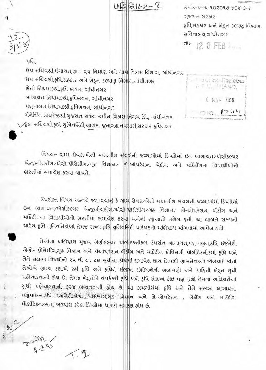42212-2

કમાંક-પરચ-૧૦૨૦૧૭-૪૦૪-ક-૨ ગુજરાત સરકાર કૃષિ,સફકાર અને ખેડૂત કલ્યણ વિભાગ, સચિવાલય,ગાંધીનગર

dl- 12 8 FEB 2011

## પ્રતિ,

ઉપ સચિવશ્રી,પંચાયત,ગ્રામ ગૃહ નિર્માણ અને ગ્રામ વિકાસ વિભાગ, ગાંધીનગર ઉપ સચિવશ્રી,કૃષ્ઠિ,સહકાર અને ખેડૂત કલ્યાણ વિભાગ,ગાંધીનગર ખેતી નિયામકશ્રી,કૃષિ ભવન, ગાંધીનગર બાગાયત નિયામકશ્રી,કૃષિભવન, ગાંધીનગર પશુપાલન નિચામક્શ્રી,કૃષિભવન, ગાંધીનગર મેનેજિંગ ડાયરેક્ટશ્રી,ગુજરાત રાજ્ય જમીન વિકાસ મિગમ લિ., ગાંધીનગર ⁄કુલ સચિવશ્રી,કૃષિ યુનિવર્સિટી,આણંદ, જૂનાગઢ,નવ<mark>સા</mark>રી,સરદાર કૃષિનગર

I actual Registrar **AT ST. LAND. L 6AR 2018**  $1744$ 

વિષય:- ગ્રામ સેવક/ખેતી મદદનીશ સંવર્ગની જગ્યાઓમાં ડિપ્લોમાં ઇન બાગાયત/એગ્રીકલ્યર એન્જીનીયરીંગ/એગ્રો-પ્રોસેસીંગ/ગૃહ વિજ્ઞાન/ ક્રો-ઓપરેશન, બેંકીંગ અને માર્કેટીંગના વિદ્યાર્થીઓનો ભરતીમાં સમાવેશ કરવા બાબતે.

ઉપરોક્ત વિષય મન્વયે જણાવવાનું કે ગ્રામ સેવક/ખેતી મદદનીશ સંવર્ગની જગ્યાઓમાં ડિપ્લોમાં ઇન બાગાયત/એગ્રીકલ્યર એન્જીનીયરીંગ/એગ્રી-પ્રોસેસીંગ/ગૃહ વિજ્ઞાન/ કો-ઓપરેશન, બેંકીંગ અને માર્કેટીંગના વિદ્યાર્થીઓનો ભરતીમાં સમાવેશ કરવા અંગેની રજુઆતો મળેલ હતી. આ બાબતે રાજ્યની ચારેય કૃષિ યુનિવર્સિટીઓ તેમજ રાજ્ય કૃષિ યુનિવર્સિટી પરિષદનો અભિપ્રાય માંગવામાં આવેલ હતો.

તેઓના અભિપ્રાય મુજબ એગ્રીકલ્યર પોલીટેકનીકલ ઉપરાંત બાગાયત,પશુપાલન,ફષિ ઇજનેરી, એગ્રો- પ્રોસેસીંગ,ગૃહ વિજ્ઞાન અને કોઓપરેશન બેંકીંગ અને માર્કેટીંગ કોર્ષિસની પોલીટેકનીકમાં કૃષિ અને તેને સંલગ્ન વિષયોનો ૨૫ થી ૮૧ ટકા સુધીના કોર્ષમાં સમાવેશ થાય છે.વળી ગ્રામસેવકનો જોબચાર્ટ જોતાં તેઓએ ગ્રામ્ય કક્ષાએ રહી કૃષિ અને કૃષિને સંલગ્ન સંશોધનોની ભલામણો અને માહિતી ખેડૂત સુધી પહોંચાડવાની હોય છે. તેમજ ખેડૂતોને સંપર્કકરી કૃષિ અને કૃષિ સંલગ્ન કોઇ પણ પ્રશ્નો તેમના અધિકારીઓ સુધી પહોંચાડવાની ફરજ બજાવવાની હોય છે. આ કામગીરીમાં કૃષિ અને તેને સંલગ્ન બાગાયત, પશુપાલન,કૃષિ ઇજનેરી,એગ્રો પ્રોસેસીગ,ગૃહ વિજ્ઞાન અને કો-ઓપરેશન , બેંકીંગ અને માર્કેટીંગ પોલીટેકનકસમાં અભ્યાસ કરેલ ડિપ્લોમા ધારકો સમકલ હોય છે.

 $225$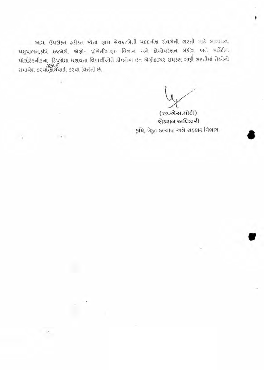આમ, ઉપરોક્ત *દ*કીકત જોતાં ગ્રામ સેવક/ખેતી મદદનીશ સંવર્ગની ભરતી માટે બાગાયત, પશુપાલન,કૃષિ ઇજનેરી, એગ્રો- પ્રોસેસીંગ,ગૃહ વિજ્ઞાન અને કોઓપરેશન બેંકીંગ અને માર્કેટીંગ પોલીટેકનીકના ડિપૂલોમા ધરાવતા વિદ્યાર્થીઓને ડીપ્લોમા ઇન એગ્રીકલ્યર સમકક્ષ ગણી ભરતીમાં તેઓનો સમાવેશ કરવા,કોર્ચની<br>સમાવેશ કરવા,કોર્ચવાહી કરવા વિનંતી છે.

 $-2$ 

(છ.એસ.મોદી) સેકશન અધિકારી કૃષિ, ખેડૂત કલ્યાણ અને સહકાર વિભાગ